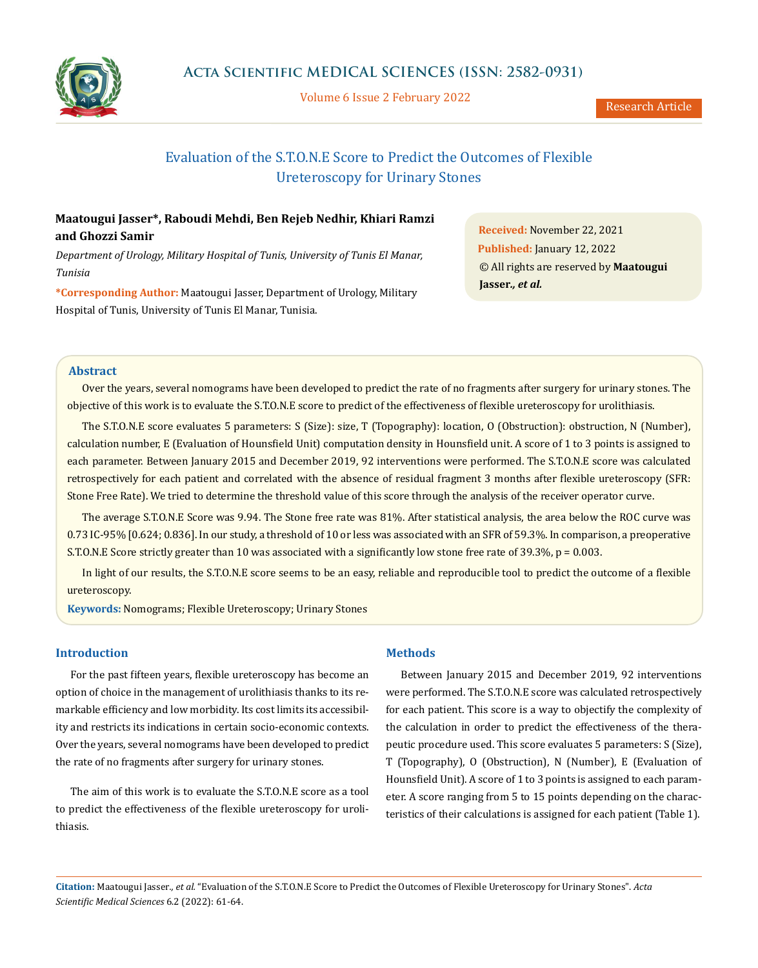

Volume 6 Issue 2 February 2022

# Evaluation of the S.T.O.N.E Score to Predict the Outcomes of Flexible Ureteroscopy for Urinary Stones

# **Maatougui Jasser\*, Raboudi Mehdi, Ben Rejeb Nedhir, Khiari Ramzi and Ghozzi Samir**

*Department of Urology, Military Hospital of Tunis, University of Tunis El Manar, Tunisia*

**\*Corresponding Author:** Maatougui Jasser, Department of Urology, Military Hospital of Tunis, University of Tunis El Manar, Tunisia.

**Received:** November 22, 2021 **Published:** January 12, 2022 © All rights are reserved by **Maatougui Jasser***., et al.*

# **Abstract**

Over the years, several nomograms have been developed to predict the rate of no fragments after surgery for urinary stones. The objective of this work is to evaluate the S.T.O.N.E score to predict of the effectiveness of flexible ureteroscopy for urolithiasis.

The S.T.O.N.E score evaluates 5 parameters: S (Size): size, T (Topography): location, O (Obstruction): obstruction, N (Number), calculation number, E (Evaluation of Hounsfield Unit) computation density in Hounsfield unit. A score of 1 to 3 points is assigned to each parameter. Between January 2015 and December 2019, 92 interventions were performed. The S.T.O.N.E score was calculated retrospectively for each patient and correlated with the absence of residual fragment 3 months after flexible ureteroscopy (SFR: Stone Free Rate). We tried to determine the threshold value of this score through the analysis of the receiver operator curve.

The average S.T.O.N.E Score was 9.94. The Stone free rate was 81%. After statistical analysis, the area below the ROC curve was 0.73 IC-95% [0.624; 0.836]. In our study, a threshold of 10 or less was associated with an SFR of 59.3%. In comparison, a preoperative S.T.O.N.E Score strictly greater than 10 was associated with a significantly low stone free rate of  $39.3\%$ ,  $p = 0.003$ .

In light of our results, the S.T.O.N.E score seems to be an easy, reliable and reproducible tool to predict the outcome of a flexible ureteroscopy.

**Keywords:** Nomograms; Flexible Ureteroscopy; Urinary Stones

# **Introduction**

For the past fifteen years, flexible ureteroscopy has become an option of choice in the management of urolithiasis thanks to its remarkable efficiency and low morbidity. Its cost limits its accessibility and restricts its indications in certain socio-economic contexts. Over the years, several nomograms have been developed to predict the rate of no fragments after surgery for urinary stones.

The aim of this work is to evaluate the S.T.O.N.E score as a tool to predict the effectiveness of the flexible ureteroscopy for urolithiasis.

## **Methods**

Between January 2015 and December 2019, 92 interventions were performed. The S.T.O.N.E score was calculated retrospectively for each patient. This score is a way to objectify the complexity of the calculation in order to predict the effectiveness of the therapeutic procedure used. This score evaluates 5 parameters: S (Size), T (Topography), O (Obstruction), N (Number), E (Evaluation of Hounsfield Unit). A score of 1 to 3 points is assigned to each parameter. A score ranging from 5 to 15 points depending on the characteristics of their calculations is assigned for each patient (Table 1).

**Citation:** Maatougui Jasser*., et al.* "Evaluation of the S.T.O.N.E Score to Predict the Outcomes of Flexible Ureteroscopy for Urinary Stones". *Acta Scientific Medical Sciences* 6.2 (2022): 61-64.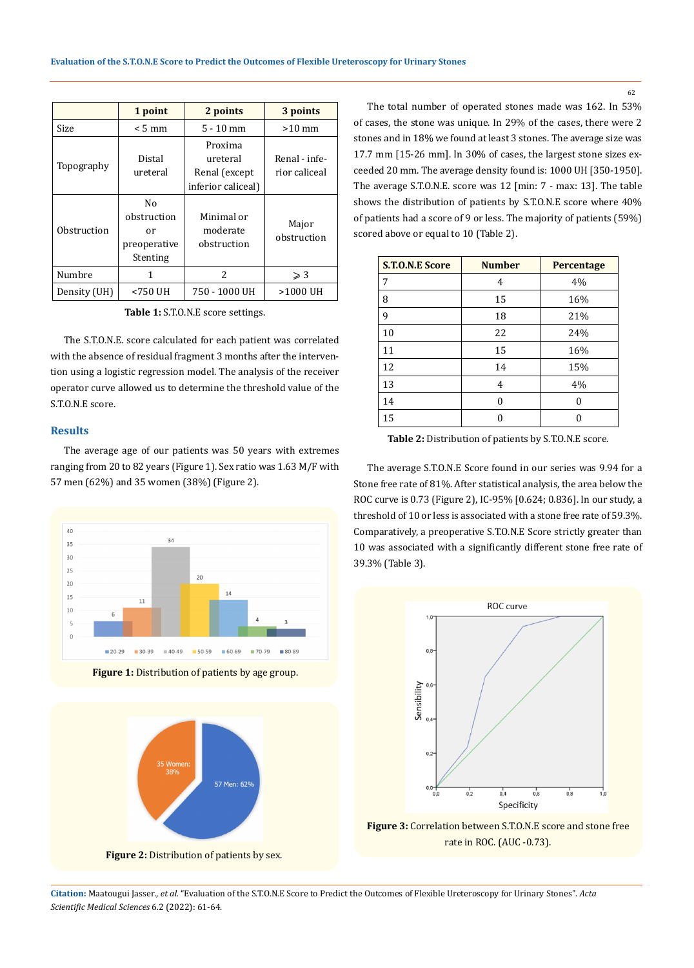|              | 1 point                                             | 2 points                                                   | 3 points             |  |
|--------------|-----------------------------------------------------|------------------------------------------------------------|----------------------|--|
| Size         | $< 5 \text{ mm}$                                    | $5 - 10$ mm                                                | $>10$ mm             |  |
| Topography   | Distal<br>ureteral                                  | Proxima<br>ureteral<br>Renal (except<br>inferior caliceal) |                      |  |
| Obstruction  | No<br>obstruction<br>or<br>preoperative<br>Stenting | Minimal or<br>moderate<br>obstruction                      | Major<br>obstruction |  |
| Numbre       | 1                                                   | $\overline{\mathcal{L}}$                                   | $\geqslant$ 3        |  |
| Density (UH) | <750 UH                                             | 750 - 1000 UH                                              | >1000 UH             |  |

**Table 1:** S.T.O.N.E score settings.

The S.T.O.N.E. score calculated for each patient was correlated with the absence of residual fragment 3 months after the intervention using a logistic regression model. The analysis of the receiver operator curve allowed us to determine the threshold value of the S.T.O.N.E score.

# **Results**

The average age of our patients was 50 years with extremes ranging from 20 to 82 years (Figure 1). Sex ratio was 1.63 M/F with 57 men (62%) and 35 women (38%) (Figure 2).







The total number of operated stones made was 162. In 53% of cases, the stone was unique. In 29% of the cases, there were 2 stones and in 18% we found at least 3 stones. The average size was 17.7 mm [15-26 mm]. In 30% of cases, the largest stone sizes exceeded 20 mm. The average density found is: 1000 UH [350-1950]. The average S.T.O.N.E. score was 12 [min: 7 - max: 13]. The table shows the distribution of patients by S.T.O.N.E score where 40% of patients had a score of 9 or less. The majority of patients (59%) scored above or equal to 10 (Table 2).

| <b>S.T.O.N.E Score</b> | <b>Number</b> | Percentage |  |
|------------------------|---------------|------------|--|
| 7                      | 4             | 4%         |  |
| 8                      | 15            | 16%        |  |
| 9                      | 18            | 21%        |  |
| 10                     | 22            | 24%        |  |
| 11                     | 15            | 16%        |  |
| 12                     | 14            | 15%        |  |
| 13                     | 4             | 4%         |  |
| 14                     | 0             | U          |  |
| 15                     |               |            |  |

**Table 2:** Distribution of patients by S.T.O.N.E score.

The average S.T.O.N.E Score found in our series was 9.94 for a Stone free rate of 81%. After statistical analysis, the area below the ROC curve is 0.73 (Figure 2), IC-95% [0.624; 0.836]. In our study, a threshold of 10 or less is associated with a stone free rate of 59.3%. Comparatively, a preoperative S.T.O.N.E Score strictly greater than 10 was associated with a significantly different stone free rate of 39.3% (Table 3).



**Figure 3:** Correlation between S.T.O.N.E score and stone free rate in ROC. (AUC -0.73).

**Citation:** Maatougui Jasser*., et al.* "Evaluation of the S.T.O.N.E Score to Predict the Outcomes of Flexible Ureteroscopy for Urinary Stones". *Acta Scientific Medical Sciences* 6.2 (2022): 61-64.

62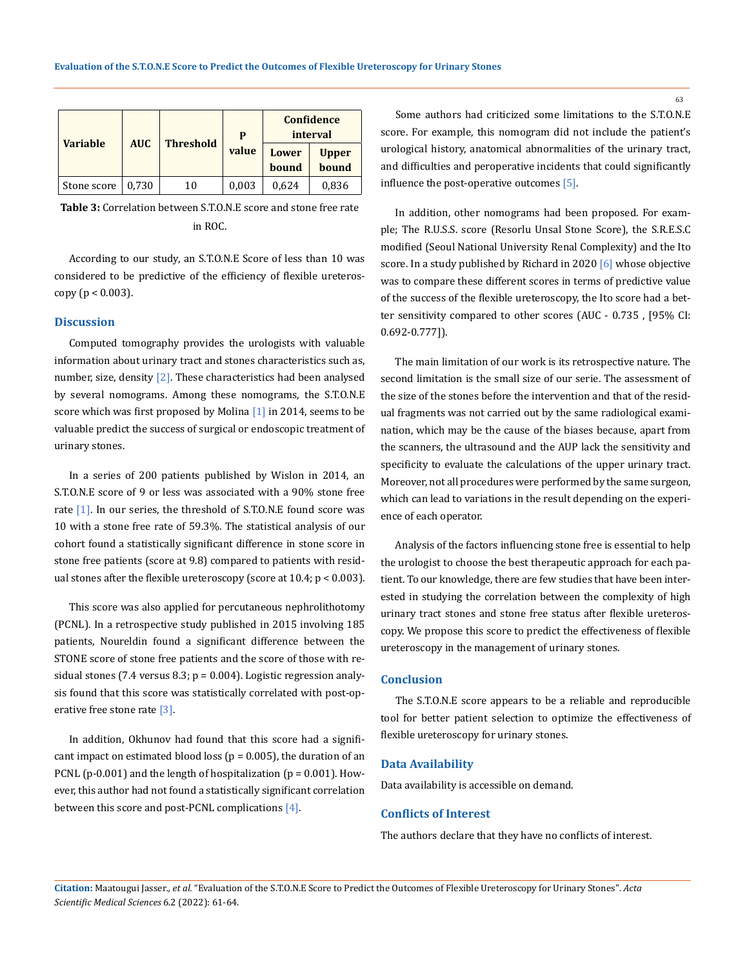| <b>Variable</b> | <b>AUC</b> | <b>Threshold</b> | P<br>value | Confidence<br>interval |              |
|-----------------|------------|------------------|------------|------------------------|--------------|
|                 |            |                  |            | Lower                  | <b>Upper</b> |
|                 |            |                  |            | bound                  | bound        |
| Stone score     | 0.730      | 10               | 0,003      | 0,624                  | 0,836        |

**Table 3:** Correlation between S.T.O.N.E score and stone free rate in ROC.

According to our study, an S.T.O.N.E Score of less than 10 was considered to be predictive of the efficiency of flexible ureteroscopy ( $p < 0.003$ ).

#### **Discussion**

Computed tomography provides the urologists with valuable information about urinary tract and stones characteristics such as, number, size, density  $[2]$ . These characteristics had been analysed by several nomograms. Among these nomograms, the S.T.O.N.E score which was first proposed by Molina [1] in 2014, seems to be valuable predict the success of surgical or endoscopic treatment of urinary stones.

In a series of 200 patients published by Wislon in 2014, an S.T.O.N.E score of 9 or less was associated with a 90% stone free rate [1]. In our series, the threshold of S.T.O.N.E found score was 10 with a stone free rate of 59.3%. The statistical analysis of our cohort found a statistically significant difference in stone score in stone free patients (score at 9.8) compared to patients with residual stones after the flexible ureteroscopy (score at  $10.4$ ;  $p < 0.003$ ).

This score was also applied for percutaneous nephrolithotomy (PCNL). In a retrospective study published in 2015 involving 185 patients, Noureldin found a significant difference between the STONE score of stone free patients and the score of those with residual stones (7.4 versus 8.3; p = 0.004). Logistic regression analysis found that this score was statistically correlated with post-operative free stone rate  $\lceil 3 \rceil$ .

In addition, Okhunov had found that this score had a significant impact on estimated blood loss ( $p = 0.005$ ), the duration of an PCNL (p-0.001) and the length of hospitalization (p = 0.001). However, this author had not found a statistically significant correlation between this score and post-PCNL complications [4].

Some authors had criticized some limitations to the S.T.O.N.E score. For example, this nomogram did not include the patient's urological history, anatomical abnormalities of the urinary tract, and difficulties and peroperative incidents that could significantly influence the post-operative outcomes [5].

In addition, other nomograms had been proposed. For example; The R.U.S.S. score (Resorlu Unsal Stone Score), the S.R.E.S.C modified (Seoul National University Renal Complexity) and the Ito score. In a study published by Richard in 2020 [6] whose objective was to compare these different scores in terms of predictive value of the success of the flexible ureteroscopy, the Ito score had a better sensitivity compared to other scores (AUC - 0.735 , [95% CI: 0.692-0.777]).

The main limitation of our work is its retrospective nature. The second limitation is the small size of our serie. The assessment of the size of the stones before the intervention and that of the residual fragments was not carried out by the same radiological examination, which may be the cause of the biases because, apart from the scanners, the ultrasound and the AUP lack the sensitivity and specificity to evaluate the calculations of the upper urinary tract. Moreover, not all procedures were performed by the same surgeon, which can lead to variations in the result depending on the experience of each operator.

Analysis of the factors influencing stone free is essential to help the urologist to choose the best therapeutic approach for each patient. To our knowledge, there are few studies that have been interested in studying the correlation between the complexity of high urinary tract stones and stone free status after flexible ureteroscopy. We propose this score to predict the effectiveness of flexible ureteroscopy in the management of urinary stones.

## **Conclusion**

The S.T.O.N.E score appears to be a reliable and reproducible tool for better patient selection to optimize the effectiveness of flexible ureteroscopy for urinary stones.

## **Data Availability**

Data availability is accessible on demand.

#### **Conflicts of Interest**

The authors declare that they have no conflicts of interest.

63